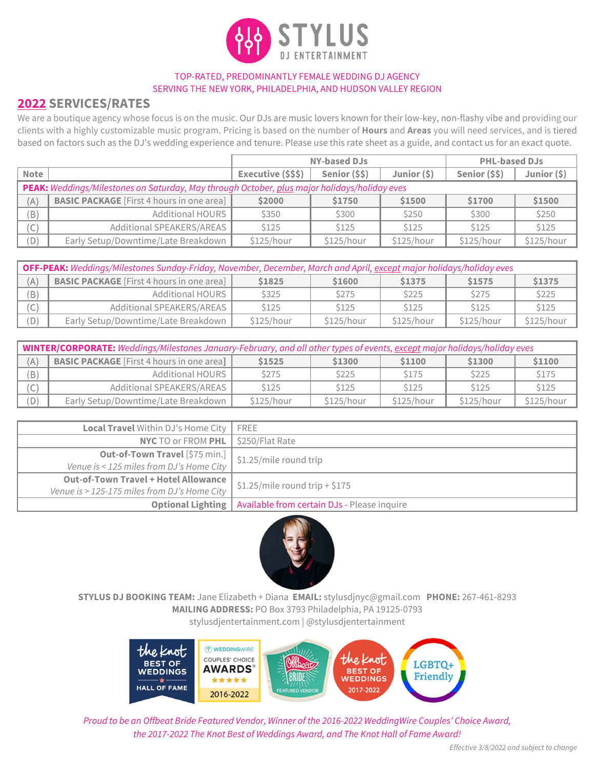

#### TOP-RATED, PREDOMINANTLY FEMALE WEDDING DJ AGENCY SERVING THE NEW YORK, PHILADELPHIA, AND HUDSON VALLEY REGION

# **2022 SERVICES/RATES**

We are a boutique agency whose focus is on the music. Our DJs are music lovers known for their low-key, non-flashy vibe and providing our clients with a highly customizable music program. Pricing is based on the number of **Hours** and **Areas** you will need services, and is tiered based on factors such as the DJ's wedding experience and tenure. Please use this rate sheet as a guide, and contact us for an exact quote.

|                                                                                              |                                                  | <b>NY-based DJs</b> |               |              | <b>PHL-based DJs</b> |                |
|----------------------------------------------------------------------------------------------|--------------------------------------------------|---------------------|---------------|--------------|----------------------|----------------|
| Note                                                                                         |                                                  | Executive (\$\$\$)  | Senior (\$\$) | Junior $(5)$ | Senior (\$\$)        | Junior $(\xi)$ |
| PEAK: Weddings/Milestones on Saturday, May through October, plus major holidays/holiday eves |                                                  |                     |               |              |                      |                |
| (A)                                                                                          | <b>BASIC PACKAGE</b> [First 4 hours in one area] | \$2000              | \$1750        | \$1500       | \$1700               | \$1500         |
| (B)                                                                                          | Additional HOURS                                 | \$350               | \$300         | \$250        | \$300                | \$250          |
| (C)                                                                                          | Additional SPEAKERS/AREAS                        | \$125               | \$125         | \$125        | \$125                | \$125          |
| (D)                                                                                          | Early Setup/Downtime/Late Breakdown              | \$125/hour          | \$125/hour    | \$125/hour   | \$125/hour           | \$125/hour     |

| OFF-PEAK: Weddings/Milestones Sunday-Friday, November, December, March and April, except major holidays/holiday eves |                                                  |             |            |            |             |            |
|----------------------------------------------------------------------------------------------------------------------|--------------------------------------------------|-------------|------------|------------|-------------|------------|
| (A)                                                                                                                  | <b>BASIC PACKAGE</b> [First 4 hours in one area] | \$1825      | \$1600     | \$1375     | \$1575      | \$1375     |
| (B)                                                                                                                  | Additional HOURS                                 | <b>S325</b> | \$275      | S225       | <b>S275</b> | \$225      |
| $\mathsf{C}$ )                                                                                                       | Additional SPEAKERS/AREAS                        | <b>S125</b> | S125       | \$125      | \$125       | \$125      |
| D)                                                                                                                   | Early Setup/Downtime/Late Breakdown              | \$125/hour  | \$125/hour | \$125/hour | \$125/hour  | \$125/hour |

| WINTER/CORPORATE: Weddings/Milestones January-February, and all other types of events, except major holidays/holiday eves |                                                  |                  |            |            |            |            |
|---------------------------------------------------------------------------------------------------------------------------|--------------------------------------------------|------------------|------------|------------|------------|------------|
| A)                                                                                                                        | <b>BASIC PACKAGE</b> [First 4 hours in one area] | \$1525           | \$1300     | \$1100     | \$1300     | \$1100     |
| B)                                                                                                                        | <b>Additional HOURS</b>                          | <b>\$275</b>     | \$225      | \$175      | \$225      | \$175      |
| $\cap$<br>U,                                                                                                              | Additional SPEAKERS/AREAS                        | S <sub>125</sub> | \$125      | \$125      | \$125      | \$125      |
| D)                                                                                                                        | Early Setup/Downtime/Late Breakdown              | \$125/hour       | \$125/hour | \$125/hour | \$125/hour | \$125/hour |

| Local Travel Within DJ's Home City           | FREE                                        |  |
|----------------------------------------------|---------------------------------------------|--|
| <b>NYC TO or FROM PHL</b>                    | \$250/Flat Rate                             |  |
| Out-of-Town Travel [\$75 min.]               | \$1.25/mile round trip                      |  |
| Venue is < 125 miles from DJ's Home City     |                                             |  |
| <b>Out-of-Town Travel + Hotel Allowance</b>  | $$1.25/mile$ round trip + \$175             |  |
| Venue is > 125-175 miles from DJ's Home City |                                             |  |
| <b>Optional Lighting</b>                     | Available from certain DJs - Please inquire |  |



**STYLUS DJ BOOKING TEAM:** Jane Elizabeth + Diana **EMAIL:** stylusdjnyc@gmail.com **PHONE:** 267-461-8293 **MAILING ADDRESS:** PO Box 3793 Philadelphia, PA 19125-0793 stylusdjentertainment.com | @stylusdjentertainment



*Proud to be an Offbeat Bride Featured Vendor, Winner of the 2016-2022 WeddingWire Couples' Choice Award, the 2017-2022 The Knot Best of Weddings Award, and The Knot Hall of Fame Award!*